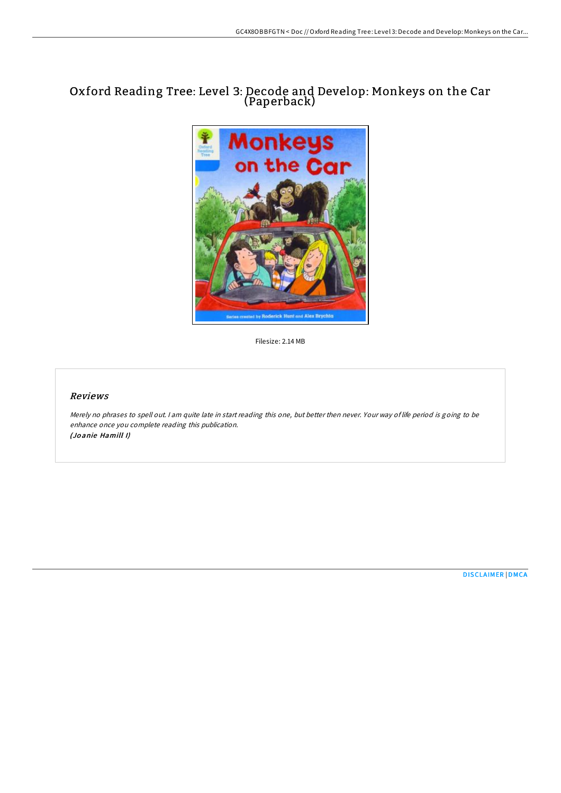## Oxford Reading Tree: Level 3: Decode and Develop: Monkeys on the Car (Paperback)



Filesize: 2.14 MB

## Reviews

Merely no phrases to spell out. <sup>I</sup> am quite late in start reading this one, but better then never. Your way of life period is going to be enhance once you complete reading this publication. (Jo anie Hamill I)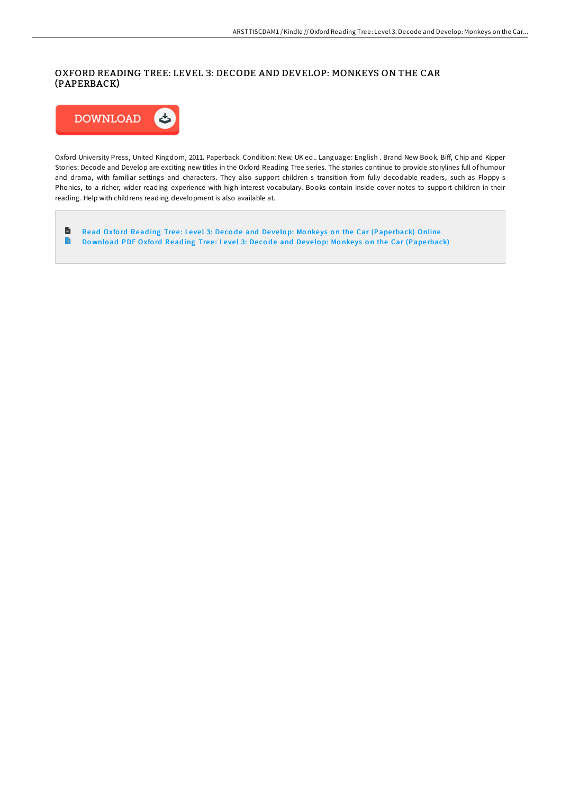## OXFORD READING TREE: LEVEL 3: DECODE AND DEVELOP: MONKEYS ON THE CAR (PAPERBACK)



Oxford University Press, United Kingdom, 2011. Paperback. Condition: New. UK ed.. Language: English . Brand New Book. Biff, Chip and Kipper Stories: Decode and Develop are exciting new titles in the Oxford Reading Tree series. The stories continue to provide storylines full of humour and drama, with familiar settings and characters. They also support children s transition from fully decodable readers, such as Floppy s Phonics, to a richer, wider reading experience with high-interest vocabulary. Books contain inside cover notes to support children in their reading. Help with childrens reading development is also available at.

 $\blacksquare$ Read Oxford Reading Tree: Level 3: Decode and Develop: Monkeys on the Car (Paperback) [Online](http://almighty24.tech/oxford-reading-tree-level-3-decode-and-develop-m.html)  $\Rightarrow$ Download PDF Oxford Reading Tree: Level 3: Decode and Develop: Monkeys on the Car (Pape[rback\)](http://almighty24.tech/oxford-reading-tree-level-3-decode-and-develop-m.html)